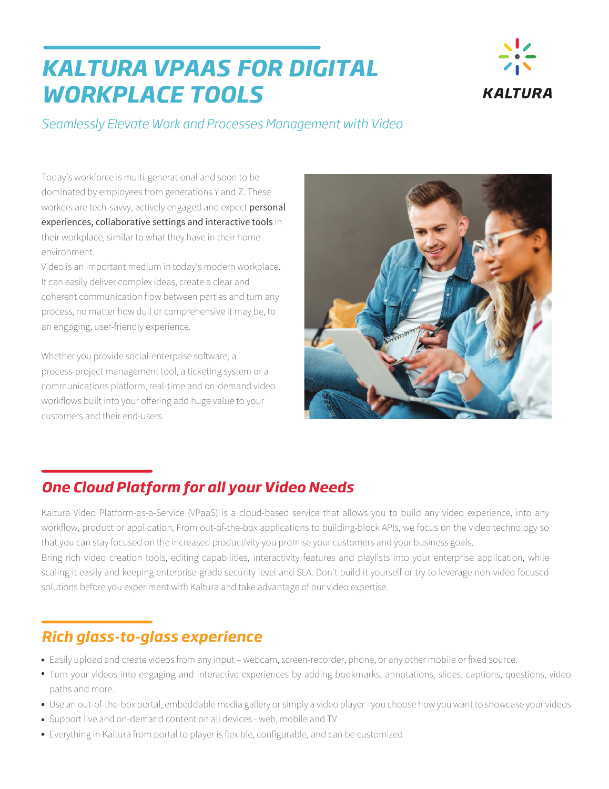# *KALTURA VPAAS FOR DIGITAL WORKPLACE TOOLS*



*Seamlessly Elevate Work and Processes Management with Video* 

Today's workforce is multi-generational and soon to be dominated by employees from generations Y and Z. These workers are tech-savvy, actively engaged and expect personal experiences, collaborative settings and interactive tools in their workplace, similar to what they have in their home environment.

Video is an important medium in today's modern workplace. It can easily deliver complex ideas, create a clear and coherent communication flow between parties and turn any process, no matter how dull or comprehensive it may be, to an engaging, user-friendly experience.

Whether you provide social-enterprise software, a process-project management tool, a ticketing system or a communications platform, real-time and on-demand video workflows built into your offering add huge value to your customers and their end-users.



# *One Cloud Platform for all your Video Needs*

Kaltura Video Platform-as-a-Service (VPaaS) is a cloud-based service that allows you to build any video experience, into any workflow, product or application. From out-of-the-box applications to building-block APIs, we focus on the video technology so that you can stay focused on the increased productivity you promise your customers and your business goals.

Bring rich video creation tools, editing capabilities, interactivity features and playlists into your enterprise application, while scaling it easily and keeping enterprise-grade security level and SLA. Don't build it yourself or try to leverage non-video focused solutions before you experiment with Kaltura and take advantage of our video expertise.

# *Rich glass-to-glass experience*

- Easily upload and create videos from any input webcam, screen-recorder, phone, or any other mobile or fixed source.
- Turn your videos into engaging and interactive experiences by adding bookmarks, annotations, slides, captions, questions, video paths and more.
- Use an out-of-the-box portal, embeddable media gallery or simply a video player you choose how you want to showcase your videos
- Support live and on-demand content on all devices web, mobile and TV
- Everything in Kaltura from portal to player is flexible, configurable, and can be customized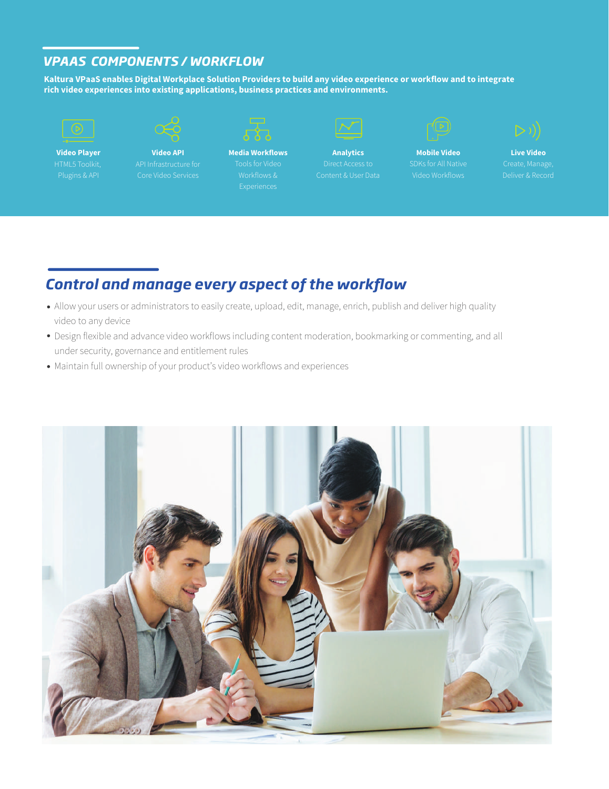#### *VPAAS COMPONENTS / WORKFLOW*

**Kaltura VPaaS enables Digital Workplace Solution Providers to build any video experience or workflow and to integrate rich video experiences into existing applications, business practices and environments.**



**Video Player**

**Video API** API Infrastructure for Core Video Services



**Media Workflows** Workflows &

**Analytics** Content & User Data



**Mobile Video** Video Workflows



**Live Video** Deliver & Record

### **Control and manage every aspect of the workflow**

- Allow your users or administrators to easily create, upload, edit, manage, enrich, publish and deliver high quality video to any device
- Design flexible and advance video workflows including content moderation, bookmarking or commenting, and all under security, governance and entitlement rules
- Maintain full ownership of your product's video workflows and experiences